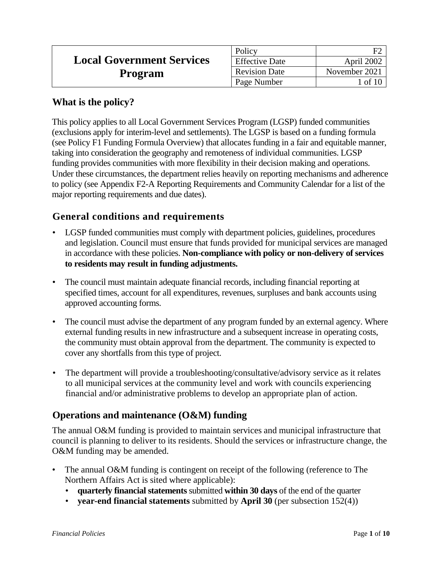|                                  | Policy                |               |
|----------------------------------|-----------------------|---------------|
| <b>Local Government Services</b> | <b>Effective Date</b> | April 2002    |
| Program                          | <b>Revision Date</b>  | November 2021 |
|                                  | Page Number           | 1 of 10       |

## **What is the policy?**

This policy applies to all Local Government Services Program (LGSP) funded communities (exclusions apply for interim-level and settlements). The LGSP is based on a funding formula (see Policy F1 Funding Formula Overview) that allocates funding in a fair and equitable manner, taking into consideration the geography and remoteness of individual communities. LGSP funding provides communities with more flexibility in their decision making and operations. Under these circumstances, the department relies heavily on reporting mechanisms and adherence to policy (see Appendix F2-A Reporting Requirements and Community Calendar for a list of the major reporting requirements and due dates).

# **General conditions and requirements**

- LGSP funded communities must comply with department policies, guidelines, procedures and legislation. Council must ensure that funds provided for municipal services are managed in accordance with these policies. **Non-compliance with policy or non-delivery of services to residents may result in funding adjustments.**
- The council must maintain adequate financial records, including financial reporting at specified times, account for all expenditures, revenues, surpluses and bank accounts using approved accounting forms.
- The council must advise the department of any program funded by an external agency. Where external funding results in new infrastructure and a subsequent increase in operating costs, the community must obtain approval from the department. The community is expected to cover any shortfalls from this type of project.
- The department will provide a troubleshooting/consultative/advisory service as it relates to all municipal services at the community level and work with councils experiencing financial and/or administrative problems to develop an appropriate plan of action.

# **Operations and maintenance (O&M) funding**

The annual O&M funding is provided to maintain services and municipal infrastructure that council is planning to deliver to its residents. Should the services or infrastructure change, the O&M funding may be amended.

- The annual O&M funding is contingent on receipt of the following (reference to The Northern Affairs Act is sited where applicable):
	- **quarterly financial statements** submitted **within 30 days** of the end of the quarter
	- **year-end financial statements** submitted by **April 30** (per subsection 152(4))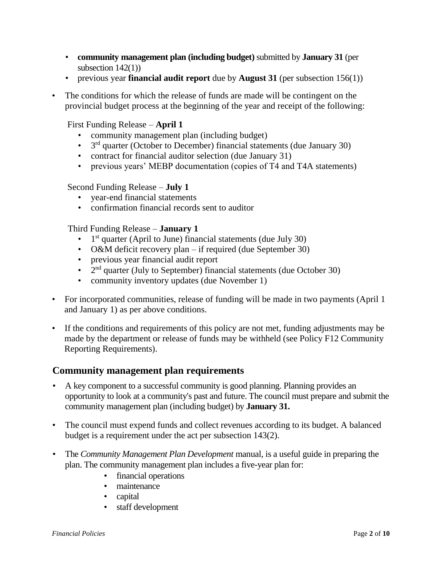- **community management plan (including budget)** submitted by **January 31** (per subsection  $142(1)$ )
- previous year **financial audit report** due by **August 31** (per subsection 156(1))
- The conditions for which the release of funds are made will be contingent on the provincial budget process at the beginning of the year and receipt of the following:

First Funding Release – **April 1**

- community management plan (including budget)
- $\bullet$  3<sup>rd</sup> quarter (October to December) financial statements (due January 30)
- contract for financial auditor selection (due January 31)
- previous years' MEBP documentation (copies of T4 and T4A statements)

#### Second Funding Release – **July 1**

- year-end financial statements
- confirmation financial records sent to auditor

Third Funding Release – **January 1**

- $\bullet$  1<sup>st</sup> quarter (April to June) financial statements (due July 30)
- O&M deficit recovery plan if required (due September 30)
- previous year financial audit report
- $2<sup>nd</sup>$  quarter (July to September) financial statements (due October 30)
- community inventory updates (due November 1)
- For incorporated communities, release of funding will be made in two payments (April 1) and January 1) as per above conditions.
- If the conditions and requirements of this policy are not met, funding adjustments may be made by the department or release of funds may be withheld (see Policy F12 Community Reporting Requirements).

## **Community management plan requirements**

- A key component to a successful community is good planning. Planning provides an opportunity to look at a community's past and future. The council must prepare and submit the community management plan (including budget) by **January 31.**
- The council must expend funds and collect revenues according to its budget. A balanced budget is a requirement under the act per subsection 143(2).
- The *Community Management Plan Development* manual, is a useful guide in preparing the plan. The community management plan includes a five-year plan for:
	- financial operations
	- maintenance
	- capital
	- staff development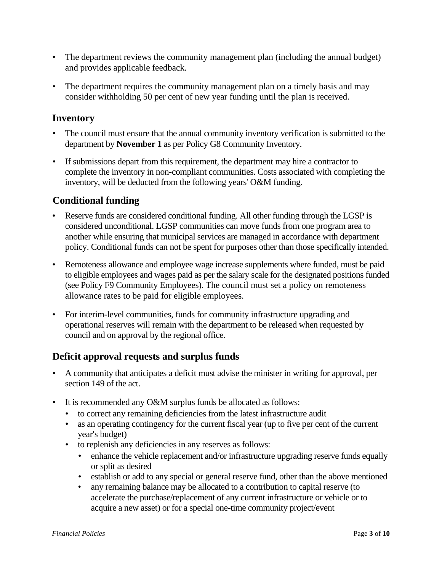- The department reviews the community management plan (including the annual budget) and provides applicable feedback.
- The department requires the community management plan on a timely basis and may consider withholding 50 per cent of new year funding until the plan is received.

# **Inventory**

- The council must ensure that the annual community inventory verification is submitted to the department by **November 1** as per Policy G8 Community Inventory.
- If submissions depart from this requirement, the department may hire a contractor to complete the inventory in non-compliant communities. Costs associated with completing the inventory, will be deducted from the following years' O&M funding.

# **Conditional funding**

- Reserve funds are considered conditional funding. All other funding through the LGSP is considered unconditional. LGSP communities can move funds from one program area to another while ensuring that municipal services are managed in accordance with department policy. Conditional funds can not be spent for purposes other than those specifically intended.
- Remoteness allowance and employee wage increase supplements where funded, must be paid to eligible employees and wages paid as per the salary scale for the designated positions funded (see Policy F9 Community Employees). The council must set a policy on remoteness allowance rates to be paid for eligible employees.
- For interim-level communities, funds for community infrastructure upgrading and operational reserves will remain with the department to be released when requested by council and on approval by the regional office.

# **Deficit approval requests and surplus funds**

- A community that anticipates a deficit must advise the minister in writing for approval, per section 149 of the act.
- It is recommended any O&M surplus funds be allocated as follows:
	- to correct any remaining deficiencies from the latest infrastructure audit
	- as an operating contingency for the current fiscal year (up to five per cent of the current year's budget)
	- to replenish any deficiencies in any reserves as follows:
		- enhance the vehicle replacement and/or infrastructure upgrading reserve funds equally or split as desired
		- establish or add to any special or general reserve fund, other than the above mentioned
		- any remaining balance may be allocated to a contribution to capital reserve (to accelerate the purchase/replacement of any current infrastructure or vehicle or to acquire a new asset) or for a special one-time community project/event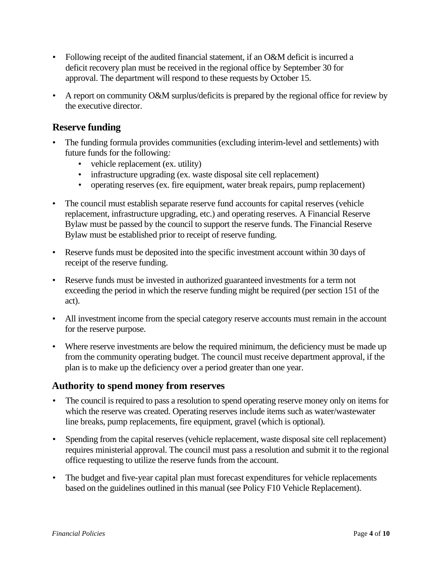- Following receipt of the audited financial statement, if an O&M deficit is incurred a deficit recovery plan must be received in the regional office by September 30 for approval. The department will respond to these requests by October 15.
- A report on community O&M surplus/deficits is prepared by the regional office for review by the executive director.

## **Reserve funding**

- The funding formula provides communities (excluding interim-level and settlements) with future funds for the following*:*
	- vehicle replacement (ex. utility)
	- infrastructure upgrading (ex. waste disposal site cell replacement)
	- operating reserves (ex. fire equipment, water break repairs, pump replacement)
- The council must establish separate reserve fund accounts for capital reserves (vehicle replacement, infrastructure upgrading, etc.) and operating reserves. A Financial Reserve Bylaw must be passed by the council to support the reserve funds. The Financial Reserve Bylaw must be established prior to receipt of reserve funding.
- Reserve funds must be deposited into the specific investment account within 30 days of receipt of the reserve funding.
- Reserve funds must be invested in authorized guaranteed investments for a term not exceeding the period in which the reserve funding might be required (per section 151 of the act).
- All investment income from the special category reserve accounts must remain in the account for the reserve purpose.
- Where reserve investments are below the required minimum, the deficiency must be made up from the community operating budget. The council must receive department approval, if the plan is to make up the deficiency over a period greater than one year.

## **Authority to spend money from reserves**

- The council is required to pass a resolution to spend operating reserve money only on items for which the reserve was created. Operating reserves include items such as water/wastewater line breaks, pump replacements, fire equipment, gravel (which is optional).
- Spending from the capital reserves (vehicle replacement, waste disposal site cell replacement) requires ministerial approval. The council must pass a resolution and submit it to the regional office requesting to utilize the reserve funds from the account.
- The budget and five-year capital plan must forecast expenditures for vehicle replacements based on the guidelines outlined in this manual (see Policy F10 Vehicle Replacement).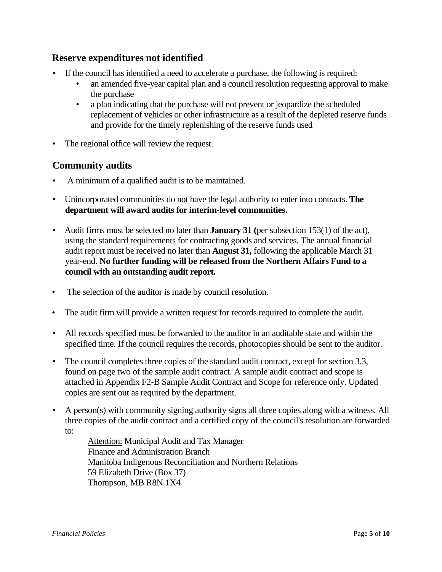## **Reserve expenditures not identified**

- If the council has identified a need to accelerate a purchase, the following is required:
	- an amended five-year capital plan and a council resolution requesting approval to make the purchase
	- a plan indicating that the purchase will not prevent or jeopardize the scheduled replacement of vehicles or other infrastructure as a result of the depleted reserve funds and provide for the timely replenishing of the reserve funds used
- The regional office will review the request.

## **Community audits**

- A minimum of a qualified audit is to be maintained.
- Unincorporated communities do not have the legal authority to enter into contracts. **The department will award audits for interim-level communities.**
- Audit firms must be selected no later than **January 31 (**per subsection 153(1) of the act), using the standard requirements for contracting goods and services. The annual financial audit report must be received no later than **August 31,** following the applicable March 31 year-end. **No further funding will be released from the Northern Affairs Fund to a council with an outstanding audit report.**
- The selection of the auditor is made by council resolution.
- The audit firm will provide a written request for records required to complete the audit.
- All records specified must be forwarded to the auditor in an auditable state and within the specified time. If the council requires the records, photocopies should be sent to the auditor.
- The council completes three copies of the standard audit contract, except for section 3.3, found on page two of the sample audit contract. A sample audit contract and scope is attached in Appendix F2-B Sample Audit Contract and Scope for reference only. Updated copies are sent out as required by the department.
- A person(s) with community signing authority signs all three copies along with a witness. All three copies of the audit contract and a certified copy of the council's resolution are forwarded to:

Attention: Municipal Audit and Tax Manager Finance and Administration Branch Manitoba Indigenous Reconciliation and Northern Relations 59 Elizabeth Drive (Box 37) Thompson, MB R8N 1X4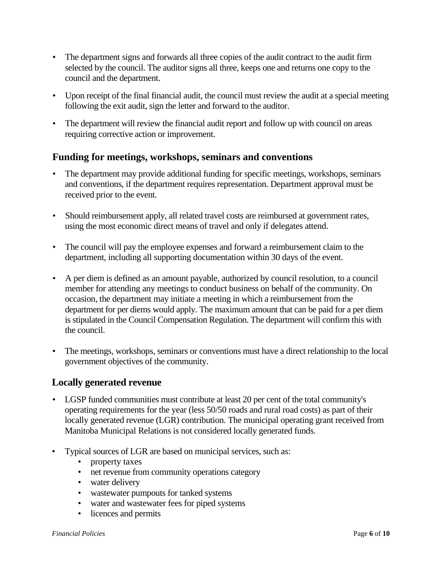- The department signs and forwards all three copies of the audit contract to the audit firm selected by the council. The auditor signs all three, keeps one and returns one copy to the council and the department.
- Upon receipt of the final financial audit, the council must review the audit at a special meeting following the exit audit, sign the letter and forward to the auditor.
- The department will review the financial audit report and follow up with council on areas requiring corrective action or improvement.

## **Funding for meetings, workshops, seminars and conventions**

- The department may provide additional funding for specific meetings, workshops, seminars and conventions, if the department requires representation. Department approval must be received prior to the event.
- Should reimbursement apply, all related travel costs are reimbursed at government rates, using the most economic direct means of travel and only if delegates attend.
- The council will pay the employee expenses and forward a reimbursement claim to the department, including all supporting documentation within 30 days of the event.
- A per diem is defined as an amount payable, authorized by council resolution, to a council member for attending any meetings to conduct business on behalf of the community. On occasion, the department may initiate a meeting in which a reimbursement from the department for per diems would apply. The maximum amount that can be paid for a per diem is stipulated in the Council Compensation Regulation. The department will confirm this with the council.
- The meetings, workshops, seminars or conventions must have a direct relationship to the local government objectives of the community.

## **Locally generated revenue**

- LGSP funded communities must contribute at least 20 per cent of the total community's operating requirements for the year (less 50/50 roads and rural road costs) as part of their locally generated revenue (LGR) contribution. The municipal operating grant received from Manitoba Municipal Relations is not considered locally generated funds.
- Typical sources of LGR are based on municipal services, such as:
	- property taxes
	- net revenue from community operations category
	- water delivery
	- wastewater pumpouts for tanked systems
	- water and wastewater fees for piped systems
	- licences and permits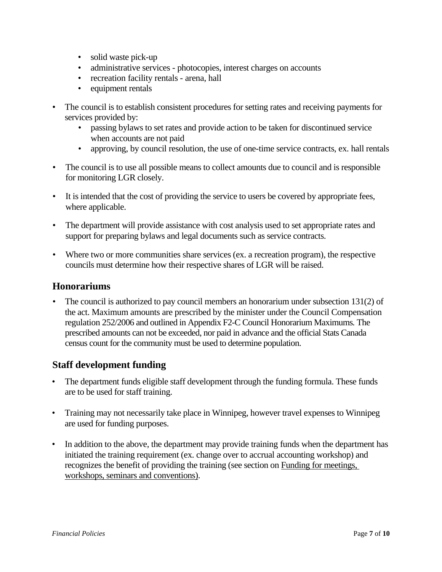- solid waste pick-up
- administrative services photocopies, interest charges on accounts
- recreation facility rentals arena, hall
- equipment rentals
- The council is to establish consistent procedures for setting rates and receiving payments for services provided by:
	- passing bylaws to set rates and provide action to be taken for discontinued service when accounts are not paid
	- approving, by council resolution, the use of one-time service contracts, ex. hall rentals
- The council is to use all possible means to collect amounts due to council and is responsible for monitoring LGR closely.
- It is intended that the cost of providing the service to users be covered by appropriate fees, where applicable.
- The department will provide assistance with cost analysis used to set appropriate rates and support for preparing bylaws and legal documents such as service contracts.
- Where two or more communities share services (ex. a recreation program), the respective councils must determine how their respective shares of LGR will be raised.

#### **Honorariums**

• The council is authorized to pay council members an honorarium under subsection 131(2) of the act. Maximum amounts are prescribed by the minister under the Council Compensation regulation 252/2006 and outlined in Appendix F2-C Council Honorarium Maximums*.* The prescribed amounts can not be exceeded, nor paid in advance and the official Stats Canada census count for the community must be used to determine population.

## **Staff development funding**

- The department funds eligible staff development through the funding formula. These funds are to be used for staff training.
- Training may not necessarily take place in Winnipeg, however travel expenses to Winnipeg are used for funding purposes.
- In addition to the above, the department may provide training funds when the department has initiated the training requirement (ex. change over to accrual accounting workshop) and recognizes the benefit of providing the training (see section on Funding for meetings, workshops, seminars and conventions).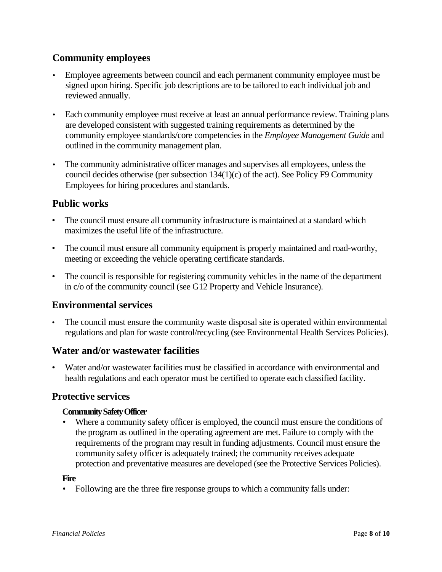# **Community employees**

- Employee agreements between council and each permanent community employee must be signed upon hiring. Specific job descriptions are to be tailored to each individual job and reviewed annually.
- Each community employee must receive at least an annual performance review. Training plans are developed consistent with suggested training requirements as determined by the community employee standards/core competencies in the *Employee Management Guide* and outlined in the community management plan.
- The community administrative officer manages and supervises all employees, unless the council decides otherwise (per subsection 134(1)(c) of the act). See Policy F9 Community Employees for hiring procedures and standards.

# **Public works**

- The council must ensure all community infrastructure is maintained at a standard which maximizes the useful life of the infrastructure.
- The council must ensure all community equipment is properly maintained and road-worthy, meeting or exceeding the vehicle operating certificate standards.
- The council is responsible for registering community vehicles in the name of the department in c/o of the community council (see G12 Property and Vehicle Insurance).

# **Environmental services**

The council must ensure the community waste disposal site is operated within environmental regulations and plan for waste control/recycling (see Environmental Health Services Policies).

## **Water and/or wastewater facilities**

• Water and/or wastewater facilities must be classified in accordance with environmental and health regulations and each operator must be certified to operate each classified facility.

## **Protective services**

#### **Community Safety Officer**

• Where a community safety officer is employed, the council must ensure the conditions of the program as outlined in the operating agreement are met. Failure to comply with the requirements of the program may result in funding adjustments. Council must ensure the community safety officer is adequately trained; the community receives adequate protection and preventative measures are developed (see the Protective Services Policies).

#### **Fire**

• Following are the three fire response groups to which a community falls under: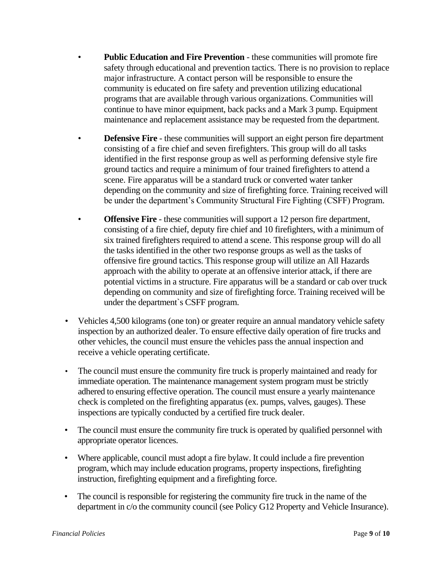- **Public Education and Fire Prevention** these communities will promote fire safety through educational and prevention tactics. There is no provision to replace major infrastructure. A contact person will be responsible to ensure the community is educated on fire safety and prevention utilizing educational programs that are available through various organizations. Communities will continue to have minor equipment, back packs and a Mark 3 pump. Equipment maintenance and replacement assistance may be requested from the department.
- **Defensive Fire** these communities will support an eight person fire department consisting of a fire chief and seven firefighters. This group will do all tasks identified in the first response group as well as performing defensive style fire ground tactics and require a minimum of four trained firefighters to attend a scene. Fire apparatus will be a standard truck or converted water tanker depending on the community and size of firefighting force. Training received will be under the department's Community Structural Fire Fighting (CSFF) Program.
- **Offensive Fire** these communities will support a 12 person fire department, consisting of a fire chief, deputy fire chief and 10 firefighters, with a minimum of six trained firefighters required to attend a scene. This response group will do all the tasks identified in the other two response groups as well as the tasks of offensive fire ground tactics. This response group will utilize an All Hazards approach with the ability to operate at an offensive interior attack, if there are potential victims in a structure. Fire apparatus will be a standard or cab over truck depending on community and size of firefighting force. Training received will be under the department`s CSFF program.
- Vehicles 4,500 kilograms (one ton) or greater require an annual mandatory vehicle safety inspection by an authorized dealer. To ensure effective daily operation of fire trucks and other vehicles, the council must ensure the vehicles pass the annual inspection and receive a vehicle operating certificate.
- The council must ensure the community fire truck is properly maintained and ready for immediate operation. The maintenance management system program must be strictly adhered to ensuring effective operation. The council must ensure a yearly maintenance check is completed on the firefighting apparatus (ex. pumps, valves, gauges). These inspections are typically conducted by a certified fire truck dealer.
- The council must ensure the community fire truck is operated by qualified personnel with appropriate operator licences.
- Where applicable, council must adopt a fire bylaw. It could include a fire prevention program, which may include education programs, property inspections, firefighting instruction, firefighting equipment and a firefighting force.
- The council is responsible for registering the community fire truck in the name of the department in c/o the community council (see Policy G12 Property and Vehicle Insurance).